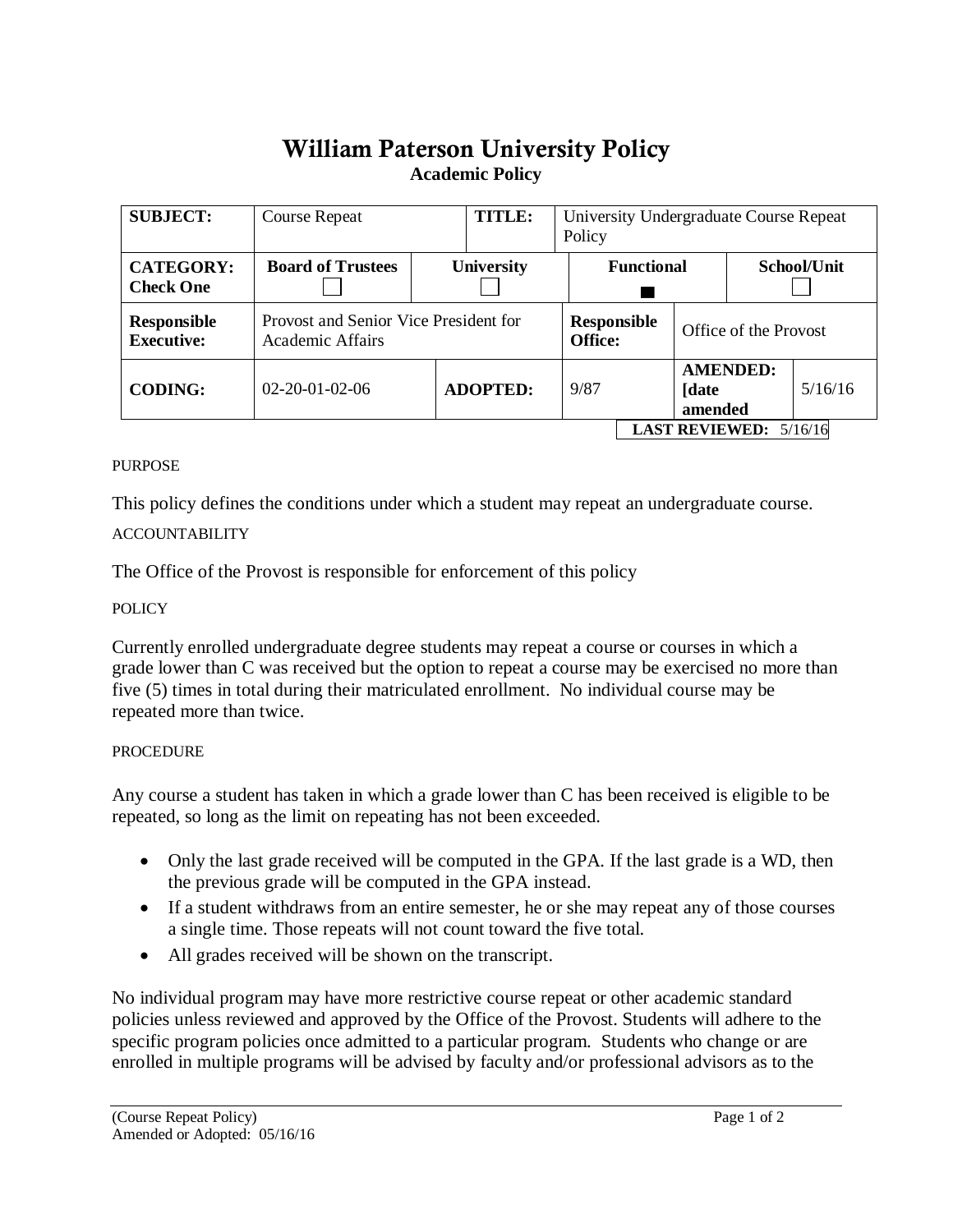# William Paterson University Policy **Academic Policy**

| <b>SUBJECT:</b>                      | <b>Course Repeat</b>                                      | TITLE:            | University Undergraduate Course Repeat<br>Policy |                                  |                       |         |
|--------------------------------------|-----------------------------------------------------------|-------------------|--------------------------------------------------|----------------------------------|-----------------------|---------|
| <b>CATEGORY:</b><br><b>Check One</b> | <b>Board of Trustees</b>                                  | <b>University</b> |                                                  | <b>Functional</b><br>School/Unit |                       |         |
| Responsible<br><b>Executive:</b>     | Provost and Senior Vice President for<br>Academic Affairs |                   | <b>Responsible</b><br><b>Office:</b>             |                                  | Office of the Provost |         |
| <b>CODING:</b>                       | $02 - 20 - 01 - 02 - 06$                                  | <b>ADOPTED:</b>   | 9/87                                             | <b>[date</b><br>amended          | <b>AMENDED:</b>       | 5/16/16 |
| <b>LAST REVIEWED:</b> $5/16/16$      |                                                           |                   |                                                  |                                  |                       |         |

### **PURPOSE**

This policy defines the conditions under which a student may repeat an undergraduate course.

## ACCOUNTABILITY

The Office of the Provost is responsible for enforcement of this policy

## POLICY

Currently enrolled undergraduate degree students may repeat a course or courses in which a grade lower than C was received but the option to repeat a course may be exercised no more than five (5) times in total during their matriculated enrollment. No individual course may be repeated more than twice.

### **PROCEDURE**

Any course a student has taken in which a grade lower than C has been received is eligible to be repeated, so long as the limit on repeating has not been exceeded.

- Only the last grade received will be computed in the GPA. If the last grade is a WD, then the previous grade will be computed in the GPA instead.
- If a student withdraws from an entire semester, he or she may repeat any of those courses a single time. Those repeats will not count toward the five total.
- All grades received will be shown on the transcript.

No individual program may have more restrictive course repeat or other academic standard policies unless reviewed and approved by the Office of the Provost. Students will adhere to the specific program policies once admitted to a particular program. Students who change or are enrolled in multiple programs will be advised by faculty and/or professional advisors as to the